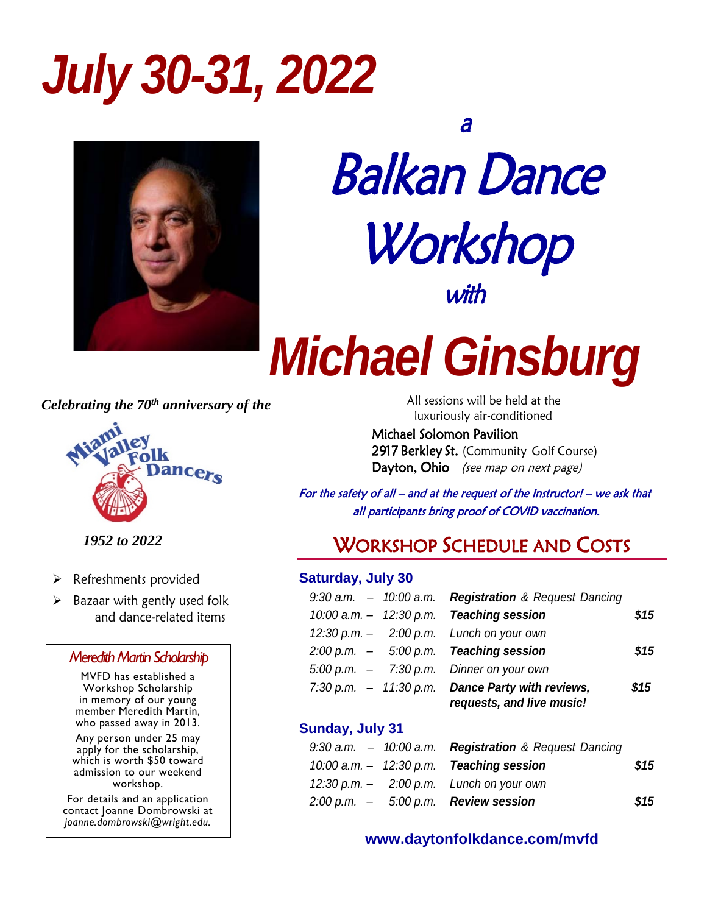## *July 30-31, 2022*



## Balkan Dance Workshop with

# *Michael Ginsburg*

*Celebrating the 70th anniversary of the*



*1952 to 2022*

- $\triangleright$  Refreshments provided
- $\triangleright$  Bazaar with gently used folk and dance-related items

### **Meredith Martin Scholarship**

MVFD has established a in memory of our young member Meredith Martin, who passed away in 2013.

Any person under 25 may apply for the scholarship, which is worth \$50 toward admission to our weekend workshop.

For details and an application contact Joanne Dombrowski at *joanne.dombrowski@wright.edu.*

 All sessions will be held at the luxuriously air-conditioned

Michael Solomon Pavilion 2917 Berkley St. (Community Golf Course) Dayton, Ohio (see map on next page)

 For the safety of all – and at the request of the instructor! – we ask that all participants bring proof of COVID vaccination.

## WORKSHOP SCHEDULE AND COSTS

## **Saturday, July 30**

|  | 9:30 a.m. - 10:00 a.m. Registration & Request Dancing    |      |
|--|----------------------------------------------------------|------|
|  | 10:00 a.m. - 12:30 p.m. Teaching session                 | \$15 |
|  | 12:30 p.m. $-$ 2:00 p.m. Lunch on your own               |      |
|  | $2:00 \text{ p.m.} - 5:00 \text{ p.m.}$ Teaching session | \$15 |
|  | $5:00$ p.m. $-7:30$ p.m. Dinner on your own              |      |
|  | 7:30 p.m. $-11:30$ p.m. Dance Party with reviews,        | \$15 |
|  | requests, and live music!                                |      |

### **Sunday, July 31**

|  | 9:30 a.m. $-$ 10:00 a.m. Registration & Request Dancing |      |
|--|---------------------------------------------------------|------|
|  | $10:00$ a.m. $-$ 12:30 p.m. Teaching session            | \$15 |
|  | 12:30 p.m. $-$ 2:00 p.m. Lunch on your own              |      |
|  | $2:00 \text{ p.m.} - 5:00 \text{ p.m.}$ Review session  | \$15 |

### **[www.daytonfolkdance.com/mvfd](http://www.daytonfolkdance.com/mvfd)**